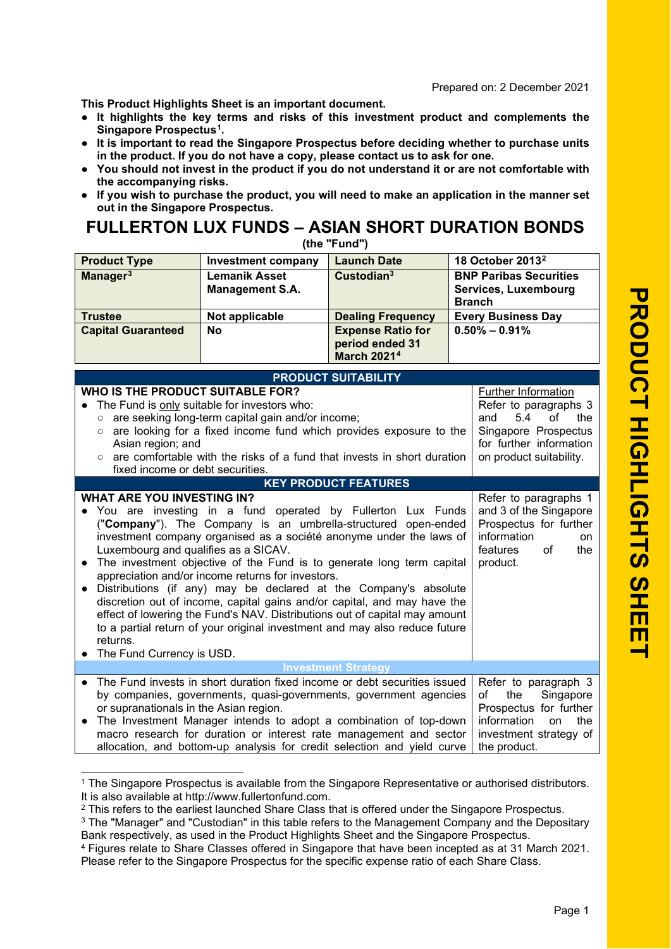Prepared on: 2 December 2021

**This Product Highlights Sheet is an important document.**

- **● It highlights the key terms and risks of this investment product and complements the Singapore Prospectus [1](#page-0-0) .**
- **● It is important to read the Singapore Prospectus before deciding whether to purchase units in the product. If you do not have a copy, please contact us to ask for one.**
- **● You should not invest in the product if you do not understand it or are not comfortable with the accompanying risks.**
- **● If you wish to purchase the product, you will need to make an application in the manner set out in the Singapore Prospectus.**

## **FULLERTON LUX FUNDS – ASIAN SHORT DURATION BONDS**

| (the "Fund")                                                                                                                                                                                                                                                                                                                                                                                                                                                                                                                                                                                                                                                                                                                                                                                                                                                          |                                                                                                                                                                                                                                                                                                                                                                      |                                                                   |               |                                                                                                                                                |  |
|-----------------------------------------------------------------------------------------------------------------------------------------------------------------------------------------------------------------------------------------------------------------------------------------------------------------------------------------------------------------------------------------------------------------------------------------------------------------------------------------------------------------------------------------------------------------------------------------------------------------------------------------------------------------------------------------------------------------------------------------------------------------------------------------------------------------------------------------------------------------------|----------------------------------------------------------------------------------------------------------------------------------------------------------------------------------------------------------------------------------------------------------------------------------------------------------------------------------------------------------------------|-------------------------------------------------------------------|---------------|------------------------------------------------------------------------------------------------------------------------------------------------|--|
| <b>Product Type</b>                                                                                                                                                                                                                                                                                                                                                                                                                                                                                                                                                                                                                                                                                                                                                                                                                                                   | <b>Investment company</b>                                                                                                                                                                                                                                                                                                                                            | <b>Launch Date</b>                                                |               | 18 October 2013 <sup>2</sup>                                                                                                                   |  |
| Manager <sup>3</sup>                                                                                                                                                                                                                                                                                                                                                                                                                                                                                                                                                                                                                                                                                                                                                                                                                                                  | <b>Lemanik Asset</b><br><b>Management S.A.</b>                                                                                                                                                                                                                                                                                                                       | Custodian <sup>3</sup>                                            | <b>Branch</b> | <b>BNP Paribas Securities</b><br>Services, Luxembourg                                                                                          |  |
| <b>Trustee</b>                                                                                                                                                                                                                                                                                                                                                                                                                                                                                                                                                                                                                                                                                                                                                                                                                                                        | Not applicable                                                                                                                                                                                                                                                                                                                                                       | <b>Dealing Frequency</b>                                          |               | <b>Every Business Day</b>                                                                                                                      |  |
| <b>Capital Guaranteed</b>                                                                                                                                                                                                                                                                                                                                                                                                                                                                                                                                                                                                                                                                                                                                                                                                                                             | <b>No</b>                                                                                                                                                                                                                                                                                                                                                            | <b>Expense Ratio for</b><br>period ended 31<br><b>March 20214</b> |               | $0.50\% - 0.91\%$                                                                                                                              |  |
|                                                                                                                                                                                                                                                                                                                                                                                                                                                                                                                                                                                                                                                                                                                                                                                                                                                                       |                                                                                                                                                                                                                                                                                                                                                                      | <b>PRODUCT SUITABILITY</b>                                        |               |                                                                                                                                                |  |
| WHO IS THE PRODUCT SUITABLE FOR?<br><b>Further Information</b><br>The Fund is only suitable for investors who:<br>Refer to paragraphs 3<br>are seeking long-term capital gain and/or income;<br>5.4<br>and<br>of<br>the<br>$\circ$<br>are looking for a fixed income fund which provides exposure to the<br>Singapore Prospectus<br>$\circ$<br>for further information<br>Asian region; and<br>are comfortable with the risks of a fund that invests in short duration<br>on product suitability.<br>$\circ$<br>fixed income or debt securities.<br><b>KEY PRODUCT FEATURES</b><br><b>WHAT ARE YOU INVESTING IN?</b>                                                                                                                                                                                                                                                  |                                                                                                                                                                                                                                                                                                                                                                      |                                                                   |               |                                                                                                                                                |  |
| Refer to paragraphs 1<br>and 3 of the Singapore<br>You are investing in a fund operated by Fullerton Lux Funds<br>("Company"). The Company is an umbrella-structured open-ended<br>Prospectus for further<br>information<br>investment company organised as a société anonyme under the laws of<br>on<br>Luxembourg and qualifies as a SICAV.<br>features<br>of<br>the<br>The investment objective of the Fund is to generate long term capital<br>product.<br>appreciation and/or income returns for investors.<br>Distributions (if any) may be declared at the Company's absolute<br>discretion out of income, capital gains and/or capital, and may have the<br>effect of lowering the Fund's NAV. Distributions out of capital may amount<br>to a partial return of your original investment and may also reduce future<br>returns.<br>The Fund Currency is USD. |                                                                                                                                                                                                                                                                                                                                                                      |                                                                   |               |                                                                                                                                                |  |
|                                                                                                                                                                                                                                                                                                                                                                                                                                                                                                                                                                                                                                                                                                                                                                                                                                                                       |                                                                                                                                                                                                                                                                                                                                                                      | <b>Investment Strategy</b>                                        |               |                                                                                                                                                |  |
| $\bullet$<br>or supranationals in the Asian region.                                                                                                                                                                                                                                                                                                                                                                                                                                                                                                                                                                                                                                                                                                                                                                                                                   | The Fund invests in short duration fixed income or debt securities issued<br>by companies, governments, quasi-governments, government agencies<br>The Investment Manager intends to adopt a combination of top-down<br>macro research for duration or interest rate management and sector<br>allocation, and bottom-up analysis for credit selection and yield curve |                                                                   |               | Refer to paragraph 3<br>Singapore<br>the<br>οf<br>Prospectus for further<br>information<br>the<br>on<br>investment strategy of<br>the product. |  |

<span id="page-0-0"></span><sup>&</sup>lt;sup>1</sup> The Singapore Prospectus is available from the Singapore Representative or authorised distributors. It is also available at http://www.fullertonfund.com.

<sup>&</sup>lt;sup>2</sup> This refers to the earliest launched Share Class that is offered under the Singapore Prospectus.

<span id="page-0-2"></span><span id="page-0-1"></span><sup>&</sup>lt;sup>3</sup> The "Manager" and "Custodian" in this table refers to the Management Company and the Depositary Bank respectively, as used in the Product Highlights Sheet and the Singapore Prospectus.

<span id="page-0-3"></span><sup>4</sup> Figures relate to Share Classes offered in Singapore that have been incepted as at 31 March 2021 . Please refer to the Singapore Prospectus for the specific expense ratio of each Share Class.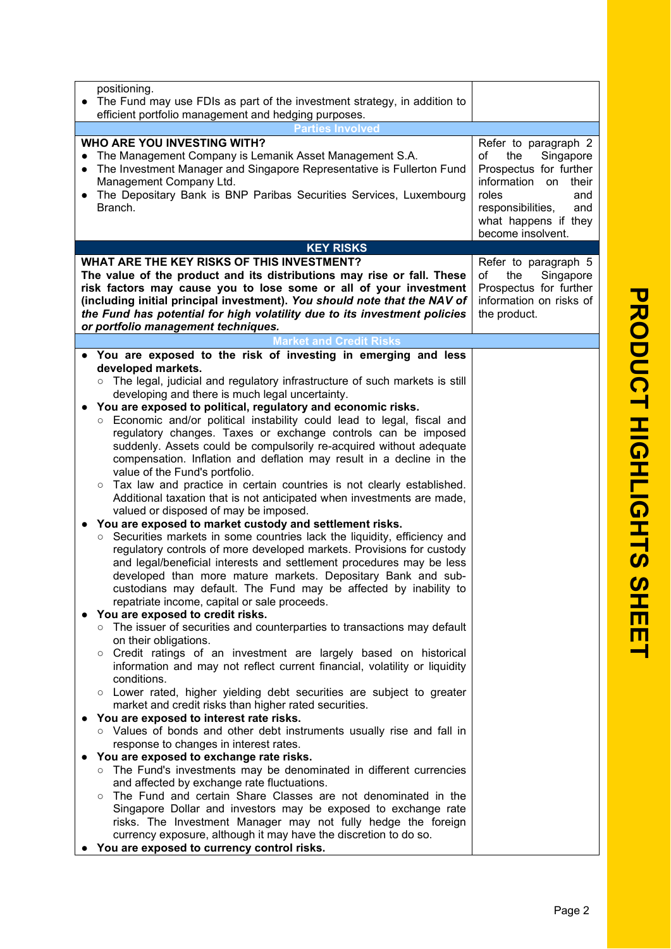| positioning.<br>The Fund may use FDIs as part of the investment strategy, in addition to<br>$\bullet$<br>efficient portfolio management and hedging purposes.                                                                                                                                                                                                                                                                                                                                                                                                                                                                                                                                                                                                                                                                                                                                                                                                                                                                                                                                                                                                                                                                                                                                                                                                                                                                                                                                                                                                                                                                                                                                                                                                                                                                                                                                                                                                                                                                                                                                                                                                                                                                                                                                                                                                                                                                                            |                                                                                                                                                                         |
|----------------------------------------------------------------------------------------------------------------------------------------------------------------------------------------------------------------------------------------------------------------------------------------------------------------------------------------------------------------------------------------------------------------------------------------------------------------------------------------------------------------------------------------------------------------------------------------------------------------------------------------------------------------------------------------------------------------------------------------------------------------------------------------------------------------------------------------------------------------------------------------------------------------------------------------------------------------------------------------------------------------------------------------------------------------------------------------------------------------------------------------------------------------------------------------------------------------------------------------------------------------------------------------------------------------------------------------------------------------------------------------------------------------------------------------------------------------------------------------------------------------------------------------------------------------------------------------------------------------------------------------------------------------------------------------------------------------------------------------------------------------------------------------------------------------------------------------------------------------------------------------------------------------------------------------------------------------------------------------------------------------------------------------------------------------------------------------------------------------------------------------------------------------------------------------------------------------------------------------------------------------------------------------------------------------------------------------------------------------------------------------------------------------------------------------------------------|-------------------------------------------------------------------------------------------------------------------------------------------------------------------------|
| Parties Involved<br><b>WHO ARE YOU INVESTING WITH?</b><br>The Management Company is Lemanik Asset Management S.A.<br>$\bullet$<br>The Investment Manager and Singapore Representative is Fullerton Fund<br>$\bullet$<br>Management Company Ltd.<br>The Depositary Bank is BNP Paribas Securities Services, Luxembourg<br>$\bullet$<br>Branch.                                                                                                                                                                                                                                                                                                                                                                                                                                                                                                                                                                                                                                                                                                                                                                                                                                                                                                                                                                                                                                                                                                                                                                                                                                                                                                                                                                                                                                                                                                                                                                                                                                                                                                                                                                                                                                                                                                                                                                                                                                                                                                            | Refer to paragraph 2<br>Singapore<br>of<br>the<br>Prospectus for further<br>information on<br>their<br>roles<br>and<br>responsibilities,<br>and<br>what happens if they |
| <b>KEY RISKS</b>                                                                                                                                                                                                                                                                                                                                                                                                                                                                                                                                                                                                                                                                                                                                                                                                                                                                                                                                                                                                                                                                                                                                                                                                                                                                                                                                                                                                                                                                                                                                                                                                                                                                                                                                                                                                                                                                                                                                                                                                                                                                                                                                                                                                                                                                                                                                                                                                                                         | become insolvent.                                                                                                                                                       |
| WHAT ARE THE KEY RISKS OF THIS INVESTMENT?                                                                                                                                                                                                                                                                                                                                                                                                                                                                                                                                                                                                                                                                                                                                                                                                                                                                                                                                                                                                                                                                                                                                                                                                                                                                                                                                                                                                                                                                                                                                                                                                                                                                                                                                                                                                                                                                                                                                                                                                                                                                                                                                                                                                                                                                                                                                                                                                               | Refer to paragraph 5                                                                                                                                                    |
| The value of the product and its distributions may rise or fall. These<br>risk factors may cause you to lose some or all of your investment<br>(including initial principal investment). You should note that the NAV of<br>the Fund has potential for high volatility due to its investment policies<br>or portfolio management techniques.                                                                                                                                                                                                                                                                                                                                                                                                                                                                                                                                                                                                                                                                                                                                                                                                                                                                                                                                                                                                                                                                                                                                                                                                                                                                                                                                                                                                                                                                                                                                                                                                                                                                                                                                                                                                                                                                                                                                                                                                                                                                                                             | Singapore<br>of<br>the<br>Prospectus for further<br>information on risks of<br>the product.                                                                             |
| <b>Market and Credit Risks</b>                                                                                                                                                                                                                                                                                                                                                                                                                                                                                                                                                                                                                                                                                                                                                                                                                                                                                                                                                                                                                                                                                                                                                                                                                                                                                                                                                                                                                                                                                                                                                                                                                                                                                                                                                                                                                                                                                                                                                                                                                                                                                                                                                                                                                                                                                                                                                                                                                           |                                                                                                                                                                         |
| You are exposed to the risk of investing in emerging and less<br>$\bullet$<br>developed markets.<br>○ The legal, judicial and regulatory infrastructure of such markets is still<br>developing and there is much legal uncertainty.<br>You are exposed to political, regulatory and economic risks.<br>$\bullet$<br>o Economic and/or political instability could lead to legal, fiscal and<br>regulatory changes. Taxes or exchange controls can be imposed<br>suddenly. Assets could be compulsorily re-acquired without adequate<br>compensation. Inflation and deflation may result in a decline in the<br>value of the Fund's portfolio.<br>Tax law and practice in certain countries is not clearly established.<br>$\circ$<br>Additional taxation that is not anticipated when investments are made,<br>valued or disposed of may be imposed.<br>You are exposed to market custody and settlement risks.<br>Securities markets in some countries lack the liquidity, efficiency and<br>$\circ$<br>regulatory controls of more developed markets. Provisions for custody<br>and legal/beneficial interests and settlement procedures may be less<br>developed than more mature markets. Depositary Bank and sub-<br>custodians may default. The Fund may be affected by inability to<br>repatriate income, capital or sale proceeds.<br>You are exposed to credit risks.<br>○ The issuer of securities and counterparties to transactions may default<br>on their obligations.<br>Credit ratings of an investment are largely based on historical<br>$\circ$<br>information and may not reflect current financial, volatility or liquidity<br>conditions.<br>o Lower rated, higher yielding debt securities are subject to greater<br>market and credit risks than higher rated securities.<br>You are exposed to interest rate risks.<br>o Values of bonds and other debt instruments usually rise and fall in<br>response to changes in interest rates.<br>You are exposed to exchange rate risks.<br>o The Fund's investments may be denominated in different currencies<br>and affected by exchange rate fluctuations.<br>o The Fund and certain Share Classes are not denominated in the<br>Singapore Dollar and investors may be exposed to exchange rate<br>risks. The Investment Manager may not fully hedge the foreign<br>currency exposure, although it may have the discretion to do so.<br>You are exposed to currency control risks. |                                                                                                                                                                         |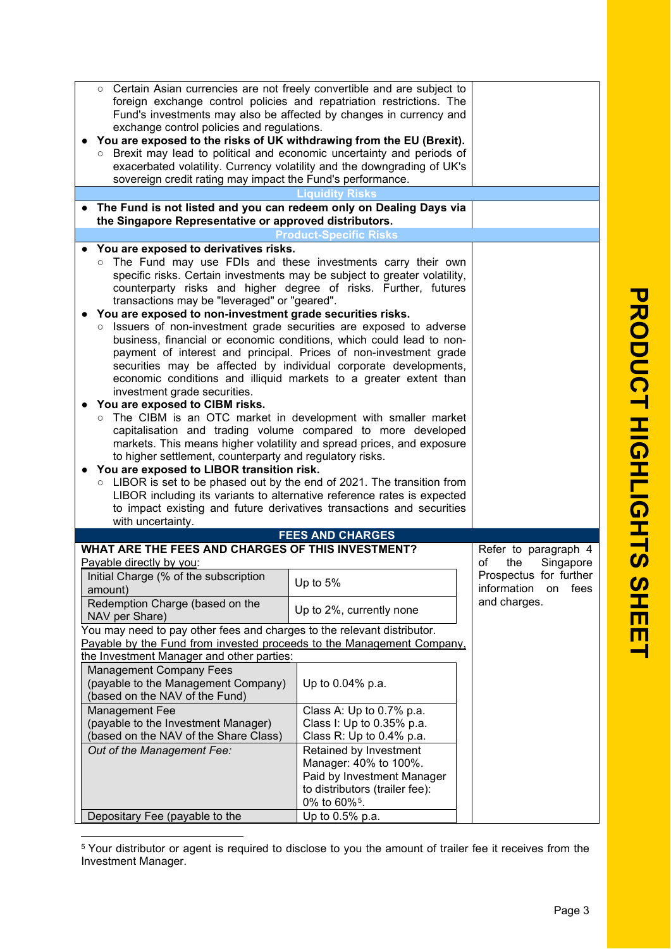|                                                                  | o Certain Asian currencies are not freely convertible and are subject to<br>foreign exchange control policies and repatriation restrictions. The<br>Fund's investments may also be affected by changes in currency and<br>exchange control policies and regulations.<br>You are exposed to the risks of UK withdrawing from the EU (Brexit).<br>Brexit may lead to political and economic uncertainty and periods of<br>$\circ$<br>exacerbated volatility. Currency volatility and the downgrading of UK's<br>sovereign credit rating may impact the Fund's performance.                                                                                                                                                                                                                                                                                                                                                                                                                                                                                                                                                                                                                                                                                                                                                                                                |                                |                        |
|------------------------------------------------------------------|-------------------------------------------------------------------------------------------------------------------------------------------------------------------------------------------------------------------------------------------------------------------------------------------------------------------------------------------------------------------------------------------------------------------------------------------------------------------------------------------------------------------------------------------------------------------------------------------------------------------------------------------------------------------------------------------------------------------------------------------------------------------------------------------------------------------------------------------------------------------------------------------------------------------------------------------------------------------------------------------------------------------------------------------------------------------------------------------------------------------------------------------------------------------------------------------------------------------------------------------------------------------------------------------------------------------------------------------------------------------------|--------------------------------|------------------------|
|                                                                  |                                                                                                                                                                                                                                                                                                                                                                                                                                                                                                                                                                                                                                                                                                                                                                                                                                                                                                                                                                                                                                                                                                                                                                                                                                                                                                                                                                         |                                |                        |
|                                                                  |                                                                                                                                                                                                                                                                                                                                                                                                                                                                                                                                                                                                                                                                                                                                                                                                                                                                                                                                                                                                                                                                                                                                                                                                                                                                                                                                                                         |                                |                        |
|                                                                  | The Fund is not listed and you can redeem only on Dealing Days via                                                                                                                                                                                                                                                                                                                                                                                                                                                                                                                                                                                                                                                                                                                                                                                                                                                                                                                                                                                                                                                                                                                                                                                                                                                                                                      |                                |                        |
|                                                                  | the Singapore Representative or approved distributors.                                                                                                                                                                                                                                                                                                                                                                                                                                                                                                                                                                                                                                                                                                                                                                                                                                                                                                                                                                                                                                                                                                                                                                                                                                                                                                                  |                                |                        |
|                                                                  |                                                                                                                                                                                                                                                                                                                                                                                                                                                                                                                                                                                                                                                                                                                                                                                                                                                                                                                                                                                                                                                                                                                                                                                                                                                                                                                                                                         | <b>Product-Specific Risks</b>  |                        |
|                                                                  | You are exposed to derivatives risks.<br>The Fund may use FDIs and these investments carry their own<br>$\circ$<br>specific risks. Certain investments may be subject to greater volatility,<br>counterparty risks and higher degree of risks. Further, futures<br>transactions may be "leveraged" or "geared".<br>You are exposed to non-investment grade securities risks.<br>Issuers of non-investment grade securities are exposed to adverse<br>$\circ$<br>business, financial or economic conditions, which could lead to non-<br>payment of interest and principal. Prices of non-investment grade<br>securities may be affected by individual corporate developments,<br>economic conditions and illiquid markets to a greater extent than<br>investment grade securities.<br>You are exposed to CIBM risks.<br>o The CIBM is an OTC market in development with smaller market<br>capitalisation and trading volume compared to more developed<br>markets. This means higher volatility and spread prices, and exposure<br>to higher settlement, counterparty and regulatory risks.<br>You are exposed to LIBOR transition risk.<br>○ LIBOR is set to be phased out by the end of 2021. The transition from<br>LIBOR including its variants to alternative reference rates is expected<br>to impact existing and future derivatives transactions and securities |                                |                        |
|                                                                  | with uncertainty.                                                                                                                                                                                                                                                                                                                                                                                                                                                                                                                                                                                                                                                                                                                                                                                                                                                                                                                                                                                                                                                                                                                                                                                                                                                                                                                                                       |                                |                        |
|                                                                  |                                                                                                                                                                                                                                                                                                                                                                                                                                                                                                                                                                                                                                                                                                                                                                                                                                                                                                                                                                                                                                                                                                                                                                                                                                                                                                                                                                         | <b>FEES AND CHARGES</b>        |                        |
|                                                                  | WHAT ARE THE FEES AND CHARGES OF THIS INVESTMENT?                                                                                                                                                                                                                                                                                                                                                                                                                                                                                                                                                                                                                                                                                                                                                                                                                                                                                                                                                                                                                                                                                                                                                                                                                                                                                                                       |                                | Refer to paragraph 4   |
|                                                                  | Payable directly by you:                                                                                                                                                                                                                                                                                                                                                                                                                                                                                                                                                                                                                                                                                                                                                                                                                                                                                                                                                                                                                                                                                                                                                                                                                                                                                                                                                |                                | of<br>the<br>Singapore |
|                                                                  | Initial Charge (% of the subscription                                                                                                                                                                                                                                                                                                                                                                                                                                                                                                                                                                                                                                                                                                                                                                                                                                                                                                                                                                                                                                                                                                                                                                                                                                                                                                                                   | Up to 5%                       | Prospectus for further |
|                                                                  | amount)                                                                                                                                                                                                                                                                                                                                                                                                                                                                                                                                                                                                                                                                                                                                                                                                                                                                                                                                                                                                                                                                                                                                                                                                                                                                                                                                                                 |                                | information on<br>fees |
| Redemption Charge (based on the<br>NAV per Share)                |                                                                                                                                                                                                                                                                                                                                                                                                                                                                                                                                                                                                                                                                                                                                                                                                                                                                                                                                                                                                                                                                                                                                                                                                                                                                                                                                                                         | Up to 2%, currently none       | and charges.           |
|                                                                  | You may need to pay other fees and charges to the relevant distributor.                                                                                                                                                                                                                                                                                                                                                                                                                                                                                                                                                                                                                                                                                                                                                                                                                                                                                                                                                                                                                                                                                                                                                                                                                                                                                                 |                                |                        |
|                                                                  | Payable by the Fund from invested proceeds to the Management Company,                                                                                                                                                                                                                                                                                                                                                                                                                                                                                                                                                                                                                                                                                                                                                                                                                                                                                                                                                                                                                                                                                                                                                                                                                                                                                                   |                                |                        |
|                                                                  | the Investment Manager and other parties:                                                                                                                                                                                                                                                                                                                                                                                                                                                                                                                                                                                                                                                                                                                                                                                                                                                                                                                                                                                                                                                                                                                                                                                                                                                                                                                               |                                |                        |
|                                                                  | <b>Management Company Fees</b>                                                                                                                                                                                                                                                                                                                                                                                                                                                                                                                                                                                                                                                                                                                                                                                                                                                                                                                                                                                                                                                                                                                                                                                                                                                                                                                                          |                                |                        |
|                                                                  | (payable to the Management Company)<br>(based on the NAV of the Fund)                                                                                                                                                                                                                                                                                                                                                                                                                                                                                                                                                                                                                                                                                                                                                                                                                                                                                                                                                                                                                                                                                                                                                                                                                                                                                                   | Up to 0.04% p.a.               |                        |
| Management Fee<br>Class A: Up to 0.7% p.a.                       |                                                                                                                                                                                                                                                                                                                                                                                                                                                                                                                                                                                                                                                                                                                                                                                                                                                                                                                                                                                                                                                                                                                                                                                                                                                                                                                                                                         |                                |                        |
| (payable to the Investment Manager)<br>Class I: Up to 0.35% p.a. |                                                                                                                                                                                                                                                                                                                                                                                                                                                                                                                                                                                                                                                                                                                                                                                                                                                                                                                                                                                                                                                                                                                                                                                                                                                                                                                                                                         |                                |                        |
| (based on the NAV of the Share Class)                            |                                                                                                                                                                                                                                                                                                                                                                                                                                                                                                                                                                                                                                                                                                                                                                                                                                                                                                                                                                                                                                                                                                                                                                                                                                                                                                                                                                         | Class R: Up to 0.4% p.a.       |                        |
| Out of the Management Fee:<br>Retained by Investment             |                                                                                                                                                                                                                                                                                                                                                                                                                                                                                                                                                                                                                                                                                                                                                                                                                                                                                                                                                                                                                                                                                                                                                                                                                                                                                                                                                                         |                                |                        |
|                                                                  |                                                                                                                                                                                                                                                                                                                                                                                                                                                                                                                                                                                                                                                                                                                                                                                                                                                                                                                                                                                                                                                                                                                                                                                                                                                                                                                                                                         | Manager: 40% to 100%.          |                        |
|                                                                  |                                                                                                                                                                                                                                                                                                                                                                                                                                                                                                                                                                                                                                                                                                                                                                                                                                                                                                                                                                                                                                                                                                                                                                                                                                                                                                                                                                         | Paid by Investment Manager     |                        |
|                                                                  |                                                                                                                                                                                                                                                                                                                                                                                                                                                                                                                                                                                                                                                                                                                                                                                                                                                                                                                                                                                                                                                                                                                                                                                                                                                                                                                                                                         | to distributors (trailer fee): |                        |
|                                                                  |                                                                                                                                                                                                                                                                                                                                                                                                                                                                                                                                                                                                                                                                                                                                                                                                                                                                                                                                                                                                                                                                                                                                                                                                                                                                                                                                                                         | 0% to 60% <sup>5</sup> .       |                        |
| Up to 0.5% p.a.<br>Depositary Fee (payable to the                |                                                                                                                                                                                                                                                                                                                                                                                                                                                                                                                                                                                                                                                                                                                                                                                                                                                                                                                                                                                                                                                                                                                                                                                                                                                                                                                                                                         |                                |                        |
|                                                                  |                                                                                                                                                                                                                                                                                                                                                                                                                                                                                                                                                                                                                                                                                                                                                                                                                                                                                                                                                                                                                                                                                                                                                                                                                                                                                                                                                                         |                                |                        |

<span id="page-2-0"></span><sup>5</sup> Your distributor or agent is required to disclose to you the amount of trailer fee it receives from the Investment Manager.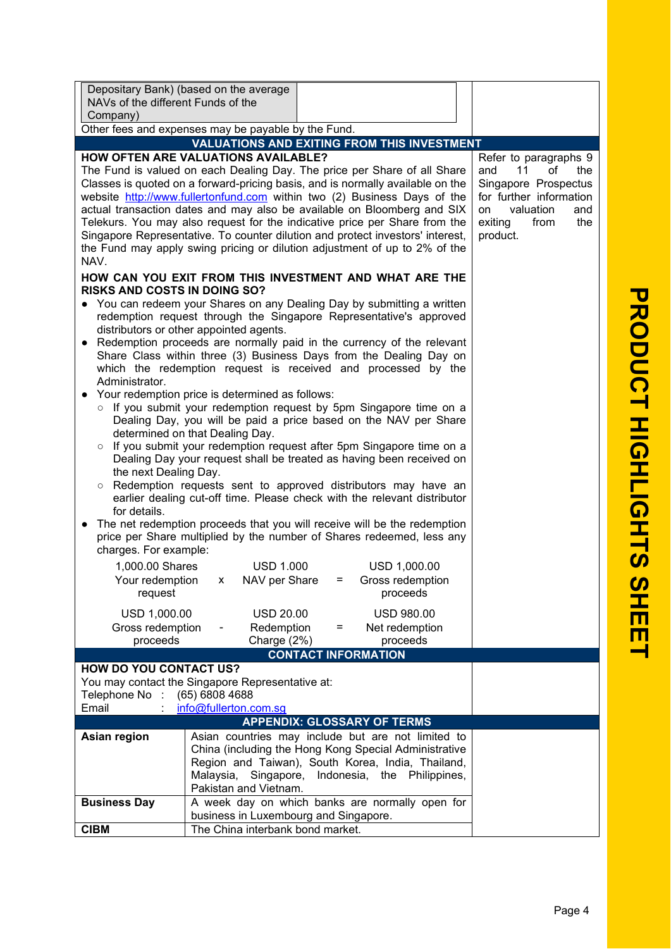| Depositary Bank) (based on the average<br>NAVs of the different Funds of the<br>Company)                                                                                                                                                                                                                                                                                                                                                                                                                                                                                                                                                                                                                                                                                                                                                                                                                                                                                                                                                                                                                                                                                                                                                                                                                                                                                                                                                                                                                                                                                                                                                                                                                                                                                                                                                                                                                                                                                                                                                                                                                                                                                                                                                                                                                                                                                                |  |  |
|-----------------------------------------------------------------------------------------------------------------------------------------------------------------------------------------------------------------------------------------------------------------------------------------------------------------------------------------------------------------------------------------------------------------------------------------------------------------------------------------------------------------------------------------------------------------------------------------------------------------------------------------------------------------------------------------------------------------------------------------------------------------------------------------------------------------------------------------------------------------------------------------------------------------------------------------------------------------------------------------------------------------------------------------------------------------------------------------------------------------------------------------------------------------------------------------------------------------------------------------------------------------------------------------------------------------------------------------------------------------------------------------------------------------------------------------------------------------------------------------------------------------------------------------------------------------------------------------------------------------------------------------------------------------------------------------------------------------------------------------------------------------------------------------------------------------------------------------------------------------------------------------------------------------------------------------------------------------------------------------------------------------------------------------------------------------------------------------------------------------------------------------------------------------------------------------------------------------------------------------------------------------------------------------------------------------------------------------------------------------------------------------|--|--|
| Other fees and expenses may be payable by the Fund.<br><b>VALUATIONS AND EXITING FROM THIS INVESTMENT</b>                                                                                                                                                                                                                                                                                                                                                                                                                                                                                                                                                                                                                                                                                                                                                                                                                                                                                                                                                                                                                                                                                                                                                                                                                                                                                                                                                                                                                                                                                                                                                                                                                                                                                                                                                                                                                                                                                                                                                                                                                                                                                                                                                                                                                                                                               |  |  |
|                                                                                                                                                                                                                                                                                                                                                                                                                                                                                                                                                                                                                                                                                                                                                                                                                                                                                                                                                                                                                                                                                                                                                                                                                                                                                                                                                                                                                                                                                                                                                                                                                                                                                                                                                                                                                                                                                                                                                                                                                                                                                                                                                                                                                                                                                                                                                                                         |  |  |
| <b>HOW OFTEN ARE VALUATIONS AVAILABLE?</b><br>Refer to paragraphs 9<br>11<br>The Fund is valued on each Dealing Day. The price per Share of all Share<br>and<br>of<br>the<br>Classes is quoted on a forward-pricing basis, and is normally available on the<br>Singapore Prospectus<br>website http://www.fullertonfund.com within two (2) Business Days of the<br>for further information<br>actual transaction dates and may also be available on Bloomberg and SIX<br>valuation<br>and<br>on<br>Telekurs. You may also request for the indicative price per Share from the<br>from<br>exiting<br>the<br>Singapore Representative. To counter dilution and protect investors' interest,<br>product.<br>the Fund may apply swing pricing or dilution adjustment of up to 2% of the<br>NAV.<br>HOW CAN YOU EXIT FROM THIS INVESTMENT AND WHAT ARE THE<br>RISKS AND COSTS IN DOING SO?<br>• You can redeem your Shares on any Dealing Day by submitting a written<br>redemption request through the Singapore Representative's approved<br>distributors or other appointed agents.<br>• Redemption proceeds are normally paid in the currency of the relevant<br>Share Class within three (3) Business Days from the Dealing Day on<br>which the redemption request is received and processed by the<br>Administrator.<br>Your redemption price is determined as follows:<br>o If you submit your redemption request by 5pm Singapore time on a<br>Dealing Day, you will be paid a price based on the NAV per Share<br>determined on that Dealing Day.<br>o If you submit your redemption request after 5pm Singapore time on a<br>Dealing Day your request shall be treated as having been received on<br>the next Dealing Day.<br>Redemption requests sent to approved distributors may have an<br>$\circ$<br>earlier dealing cut-off time. Please check with the relevant distributor<br>for details.<br>The net redemption proceeds that you will receive will be the redemption<br>price per Share multiplied by the number of Shares redeemed, less any<br>charges. For example:<br>1,000.00 Shares<br><b>USD 1.000</b><br>USD 1,000.00<br>Your redemption x NAV per Share<br>= Gross redemption<br>proceeds<br>request<br>USD 1,000.00<br><b>USD 20.00</b><br><b>USD 980.00</b><br>Gross redemption<br>Redemption<br>Net redemption<br>$=$<br>proceeds<br>Charge (2%)<br>proceeds |  |  |
| <b>CONTACT INFORMATION</b>                                                                                                                                                                                                                                                                                                                                                                                                                                                                                                                                                                                                                                                                                                                                                                                                                                                                                                                                                                                                                                                                                                                                                                                                                                                                                                                                                                                                                                                                                                                                                                                                                                                                                                                                                                                                                                                                                                                                                                                                                                                                                                                                                                                                                                                                                                                                                              |  |  |
| HOW DO YOU CONTACT US?<br>You may contact the Singapore Representative at:<br>(65) 6808 4688<br>Telephone No:<br>Email<br>info@fullerton.com.sg                                                                                                                                                                                                                                                                                                                                                                                                                                                                                                                                                                                                                                                                                                                                                                                                                                                                                                                                                                                                                                                                                                                                                                                                                                                                                                                                                                                                                                                                                                                                                                                                                                                                                                                                                                                                                                                                                                                                                                                                                                                                                                                                                                                                                                         |  |  |
| <b>APPENDIX: GLOSSARY OF TERMS</b><br>Asian region<br>Asian countries may include but are not limited to                                                                                                                                                                                                                                                                                                                                                                                                                                                                                                                                                                                                                                                                                                                                                                                                                                                                                                                                                                                                                                                                                                                                                                                                                                                                                                                                                                                                                                                                                                                                                                                                                                                                                                                                                                                                                                                                                                                                                                                                                                                                                                                                                                                                                                                                                |  |  |
| China (including the Hong Kong Special Administrative<br>Region and Taiwan), South Korea, India, Thailand,<br>Malaysia,<br>Singapore,<br>Indonesia, the Philippines,<br>Pakistan and Vietnam.                                                                                                                                                                                                                                                                                                                                                                                                                                                                                                                                                                                                                                                                                                                                                                                                                                                                                                                                                                                                                                                                                                                                                                                                                                                                                                                                                                                                                                                                                                                                                                                                                                                                                                                                                                                                                                                                                                                                                                                                                                                                                                                                                                                           |  |  |
| A week day on which banks are normally open for<br><b>Business Day</b><br>business in Luxembourg and Singapore.                                                                                                                                                                                                                                                                                                                                                                                                                                                                                                                                                                                                                                                                                                                                                                                                                                                                                                                                                                                                                                                                                                                                                                                                                                                                                                                                                                                                                                                                                                                                                                                                                                                                                                                                                                                                                                                                                                                                                                                                                                                                                                                                                                                                                                                                         |  |  |
| The China interbank bond market.<br><b>CIBM</b>                                                                                                                                                                                                                                                                                                                                                                                                                                                                                                                                                                                                                                                                                                                                                                                                                                                                                                                                                                                                                                                                                                                                                                                                                                                                                                                                                                                                                                                                                                                                                                                                                                                                                                                                                                                                                                                                                                                                                                                                                                                                                                                                                                                                                                                                                                                                         |  |  |